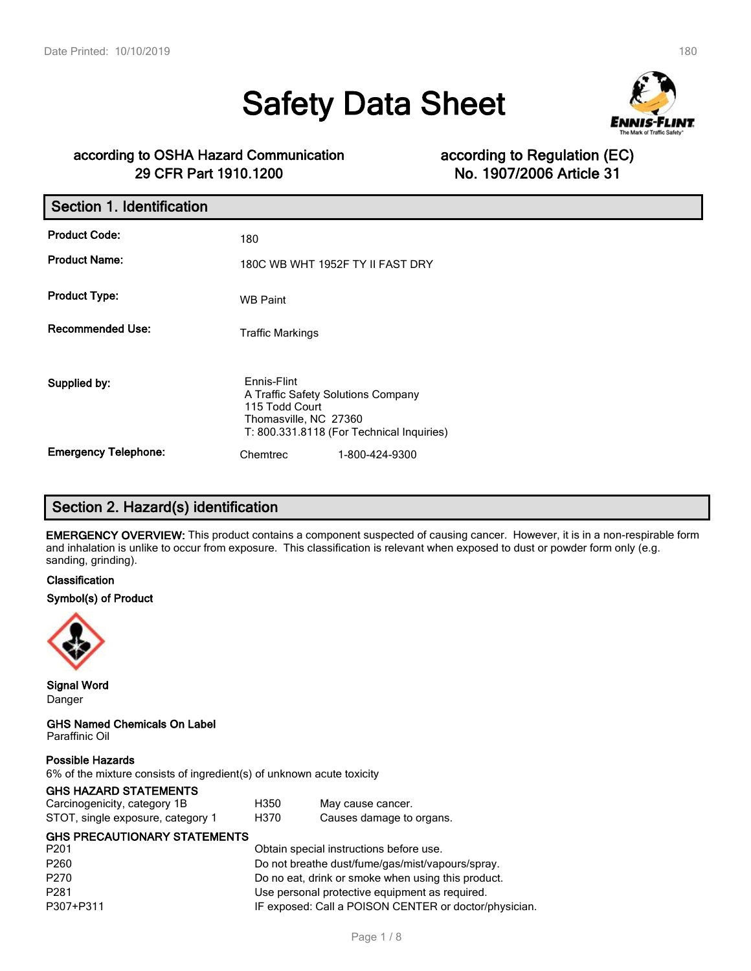# **Safety Data Sheet**



# **according to OSHA Hazard Communication according to Regulation (EC) 29 CFR Part 1910.1200 No. 1907/2006 Article 31**

| Section 1. Identification   |                                                                                                                                           |
|-----------------------------|-------------------------------------------------------------------------------------------------------------------------------------------|
| <b>Product Code:</b>        | 180                                                                                                                                       |
| <b>Product Name:</b>        | 180C WB WHT 1952F TY II FAST DRY                                                                                                          |
| <b>Product Type:</b>        | <b>WB Paint</b>                                                                                                                           |
| <b>Recommended Use:</b>     | <b>Traffic Markings</b>                                                                                                                   |
| Supplied by:                | Ennis-Flint<br>A Traffic Safety Solutions Company<br>115 Todd Court<br>Thomasville, NC 27360<br>T: 800.331.8118 (For Technical Inquiries) |
| <b>Emergency Telephone:</b> | 1-800-424-9300<br>Chemtrec                                                                                                                |

# **Section 2. Hazard(s) identification**

**EMERGENCY OVERVIEW:** This product contains a component suspected of causing cancer. However, it is in a non-respirable form and inhalation is unlike to occur from exposure. This classification is relevant when exposed to dust or powder form only (e.g. sanding, grinding).

#### **Classification**

#### **Symbol(s) of Product**



**Signal Word** Danger

**GHS Named Chemicals On Label** Paraffinic Oil

#### **Possible Hazards**

6% of the mixture consists of ingredient(s) of unknown acute toxicity

#### **GHS HAZARD STATEMENTS**

| Carcinogenicity, category 1B      | H350 | May cause cancer.        |
|-----------------------------------|------|--------------------------|
| STOT, single exposure, category 1 | H370 | Causes damage to organs. |

# **GHS PRECAUTIONARY STATEMENTS**

| P201             | Obtain special instructions before use.               |
|------------------|-------------------------------------------------------|
| P <sub>260</sub> | Do not breathe dust/fume/gas/mist/vapours/spray.      |
| P270             | Do no eat, drink or smoke when using this product.    |
| P281             | Use personal protective equipment as required.        |
| P307+P311        | IF exposed: Call a POISON CENTER or doctor/physician. |
|                  |                                                       |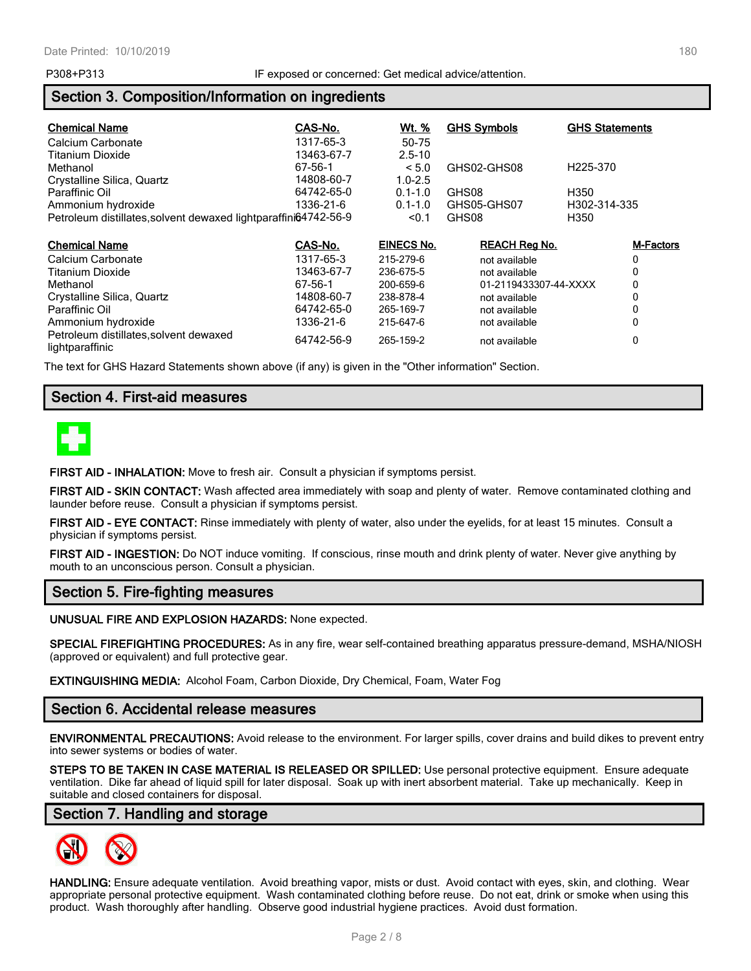# **Section 3. Composition/Information on ingredients**

| <b>Chemical Name</b>                                            | CAS-No.    | <u>Wt. %</u>      | <b>GHS Symbols</b>    | <b>GHS Statements</b> |
|-----------------------------------------------------------------|------------|-------------------|-----------------------|-----------------------|
| Calcium Carbonate                                               | 1317-65-3  | 50-75             |                       |                       |
| Titanium Dioxide                                                | 13463-67-7 | $2.5 - 10$        |                       |                       |
| Methanol                                                        | 67-56-1    | < 5.0             | GHS02-GHS08           | H <sub>225</sub> -370 |
| Crystalline Silica, Quartz                                      | 14808-60-7 | $1.0 - 2.5$       |                       |                       |
| Paraffinic Oil                                                  | 64742-65-0 | $0.1 - 1.0$       | GHS08                 | H350                  |
| Ammonium hydroxide                                              | 1336-21-6  | $0.1 - 1.0$       | GHS05-GHS07           | H302-314-335          |
| Petroleum distillates, solvent dewaxed lightparaffini64742-56-9 |            | < 0.1             | GHS08                 | H350                  |
| <b>Chemical Name</b>                                            | CAS-No.    | <b>EINECS No.</b> | <b>REACH Reg No.</b>  | <b>M-Factors</b>      |
| Calcium Carbonate                                               | 1317-65-3  | 215-279-6         | not available         | 0                     |
| Titanium Dioxide                                                | 13463-67-7 | 236-675-5         | not available         | 0                     |
| Methanol                                                        | 67-56-1    | 200-659-6         | 01-2119433307-44-XXXX | 0                     |
| Crystalline Silica, Quartz                                      | 14808-60-7 | 238-878-4         | not available         | 0                     |
| Paraffinic Oil                                                  | 64742-65-0 | 265-169-7         | not available         | 0                     |
| Ammonium hydroxide                                              | 1336-21-6  | 215-647-6         | not available         | 0                     |
| Petroleum distillates, solvent dewaxed<br>lightparaffinic       | 64742-56-9 | 265-159-2         | not available         | 0                     |

The text for GHS Hazard Statements shown above (if any) is given in the "Other information" Section.

# **Section 4. First-aid measures**



**FIRST AID - INHALATION:** Move to fresh air. Consult a physician if symptoms persist.

**FIRST AID - SKIN CONTACT:** Wash affected area immediately with soap and plenty of water. Remove contaminated clothing and launder before reuse. Consult a physician if symptoms persist.

**FIRST AID - EYE CONTACT:** Rinse immediately with plenty of water, also under the eyelids, for at least 15 minutes. Consult a physician if symptoms persist.

**FIRST AID - INGESTION:** Do NOT induce vomiting. If conscious, rinse mouth and drink plenty of water. Never give anything by mouth to an unconscious person. Consult a physician.

# **Section 5. Fire-fighting measures**

**UNUSUAL FIRE AND EXPLOSION HAZARDS:** None expected.

**SPECIAL FIREFIGHTING PROCEDURES:** As in any fire, wear self-contained breathing apparatus pressure-demand, MSHA/NIOSH (approved or equivalent) and full protective gear.

**EXTINGUISHING MEDIA:** Alcohol Foam, Carbon Dioxide, Dry Chemical, Foam, Water Fog

### **Section 6. Accidental release measures**

**ENVIRONMENTAL PRECAUTIONS:** Avoid release to the environment. For larger spills, cover drains and build dikes to prevent entry into sewer systems or bodies of water.

**STEPS TO BE TAKEN IN CASE MATERIAL IS RELEASED OR SPILLED:** Use personal protective equipment. Ensure adequate ventilation. Dike far ahead of liquid spill for later disposal. Soak up with inert absorbent material. Take up mechanically. Keep in suitable and closed containers for disposal.

### **Section 7. Handling and storage**



**HANDLING:** Ensure adequate ventilation. Avoid breathing vapor, mists or dust. Avoid contact with eyes, skin, and clothing. Wear appropriate personal protective equipment. Wash contaminated clothing before reuse. Do not eat, drink or smoke when using this product. Wash thoroughly after handling. Observe good industrial hygiene practices. Avoid dust formation.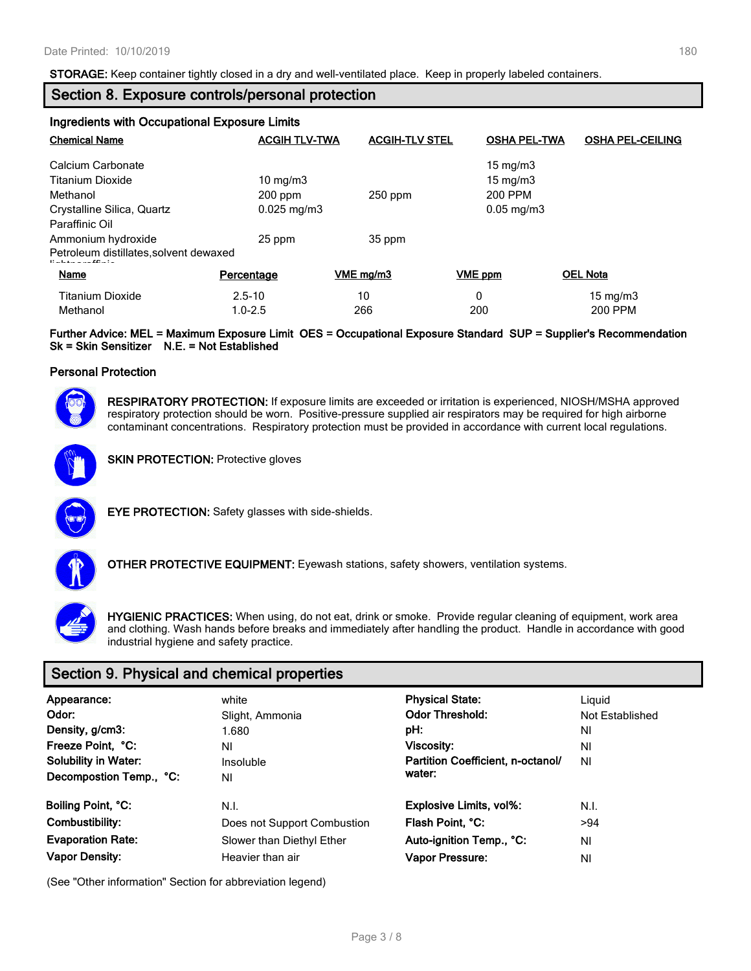**STORAGE:** Keep container tightly closed in a dry and well-ventilated place. Keep in properly labeled containers.

# **Section 8. Exposure controls/personal protection**

| Ingredients with Occupational Exposure Limits                              |                        |                       |                         |                         |
|----------------------------------------------------------------------------|------------------------|-----------------------|-------------------------|-------------------------|
| <b>Chemical Name</b>                                                       | <b>ACGIH TLV-TWA</b>   | <b>ACGIH-TLV STEL</b> | <b>OSHA PEL-TWA</b>     | <b>OSHA PEL-CEILING</b> |
| Calcium Carbonate                                                          |                        |                       | $15 \text{ mg/m}$       |                         |
| Titanium Dioxide                                                           | $10 \text{ mg/m}$      |                       | $15 \text{ mg/m}$       |                         |
| Methanol                                                                   | $200$ ppm              | $250$ ppm             | 200 PPM                 |                         |
| Crystalline Silica, Quartz                                                 | $0.025 \text{ mg/m}$ 3 |                       | $0.05 \,\mathrm{mg/m3}$ |                         |
| Paraffinic Oil                                                             |                        |                       |                         |                         |
| Ammonium hydroxide                                                         | 25 ppm                 | 35 ppm                |                         |                         |
| Petroleum distillates, solvent dewaxed<br>Participation of the Contract of |                        |                       |                         |                         |
| Name                                                                       | Percentage             | VME mg/m3             | VME ppm                 | <b>OEL Nota</b>         |
| <b>Titanium Dioxide</b>                                                    | $2.5 - 10$             | 10                    | 0                       | $15 \text{ mg/m}$       |
| Methanol                                                                   | $1.0 - 2.5$            | 266                   | 200                     | 200 PPM                 |

#### **Further Advice: MEL = Maximum Exposure Limit OES = Occupational Exposure Standard SUP = Supplier's Recommendation Sk = Skin Sensitizer N.E. = Not Established**

#### **Personal Protection**



**RESPIRATORY PROTECTION:** If exposure limits are exceeded or irritation is experienced, NIOSH/MSHA approved respiratory protection should be worn. Positive-pressure supplied air respirators may be required for high airborne contaminant concentrations. Respiratory protection must be provided in accordance with current local regulations.



**SKIN PROTECTION: Protective gloves** 



**EYE PROTECTION:** Safety glasses with side-shields.



**OTHER PROTECTIVE EQUIPMENT:** Eyewash stations, safety showers, ventilation systems.

**HYGIENIC PRACTICES:** When using, do not eat, drink or smoke. Provide regular cleaning of equipment, work area and clothing. Wash hands before breaks and immediately after handling the product. Handle in accordance with good industrial hygiene and safety practice.

# **Section 9. Physical and chemical properties**

| Appearance:<br>Odor:<br>Density, g/cm3:<br>Freeze Point, °C:<br><b>Solubility in Water:</b><br>Decompostion Temp., °C: | white<br>Slight, Ammonia<br>1.680<br>ΝI<br>Insoluble<br>ΝI | <b>Physical State:</b><br><b>Odor Threshold:</b><br>pH:<br>Viscosity:<br>Partition Coefficient, n-octanol/<br>water: | Liguid<br>Not Established<br>ΝI<br>ΝI<br>ΝI |
|------------------------------------------------------------------------------------------------------------------------|------------------------------------------------------------|----------------------------------------------------------------------------------------------------------------------|---------------------------------------------|
| Boiling Point, °C:                                                                                                     | N.I.                                                       | <b>Explosive Limits, vol%:</b>                                                                                       | N.I.                                        |
| Combustibility:                                                                                                        | Does not Support Combustion                                | Flash Point, °C:                                                                                                     | >94                                         |
| <b>Evaporation Rate:</b>                                                                                               | Slower than Diethyl Ether                                  | Auto-ignition Temp., °C:                                                                                             | ΝI                                          |
| <b>Vapor Density:</b>                                                                                                  | Heavier than air                                           | Vapor Pressure:                                                                                                      | ΝI                                          |

(See "Other information" Section for abbreviation legend)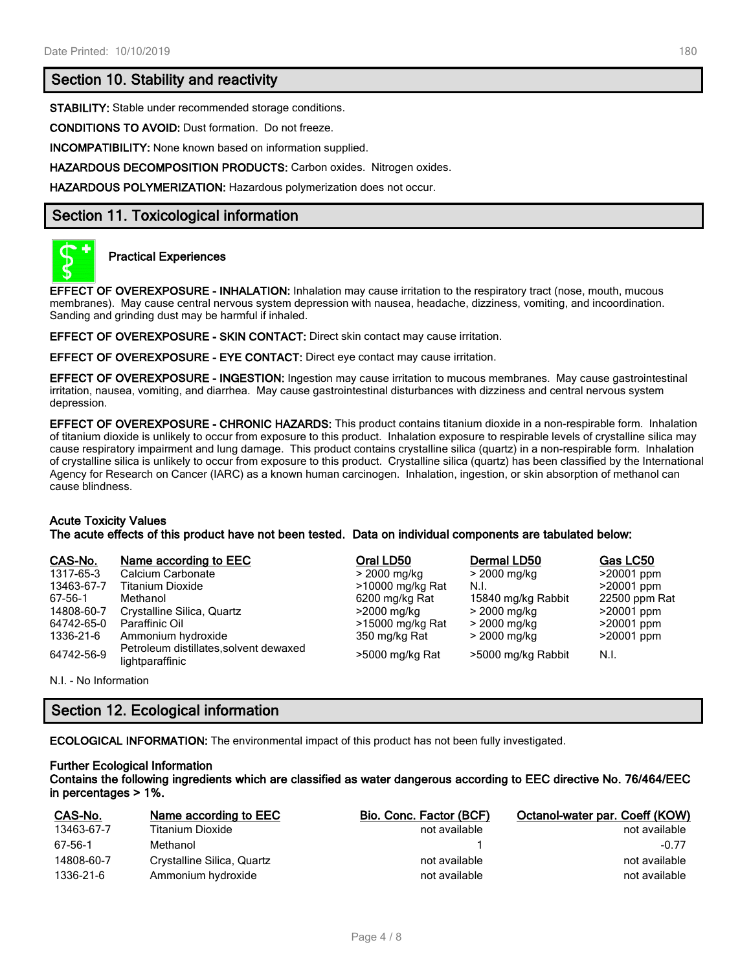### **Section 10. Stability and reactivity**

**STABILITY:** Stable under recommended storage conditions.

**CONDITIONS TO AVOID:** Dust formation. Do not freeze.

**INCOMPATIBILITY:** None known based on information supplied.

**HAZARDOUS DECOMPOSITION PRODUCTS:** Carbon oxides. Nitrogen oxides.

**HAZARDOUS POLYMERIZATION:** Hazardous polymerization does not occur.

### **Section 11. Toxicological information**



#### **Practical Experiences**

**EFFECT OF OVEREXPOSURE - INHALATION:** Inhalation may cause irritation to the respiratory tract (nose, mouth, mucous membranes). May cause central nervous system depression with nausea, headache, dizziness, vomiting, and incoordination. Sanding and grinding dust may be harmful if inhaled.

**EFFECT OF OVEREXPOSURE - SKIN CONTACT:** Direct skin contact may cause irritation.

**EFFECT OF OVEREXPOSURE - EYE CONTACT:** Direct eye contact may cause irritation.

**EFFECT OF OVEREXPOSURE - INGESTION:** Ingestion may cause irritation to mucous membranes. May cause gastrointestinal irritation, nausea, vomiting, and diarrhea. May cause gastrointestinal disturbances with dizziness and central nervous system depression.

**EFFECT OF OVEREXPOSURE - CHRONIC HAZARDS:** This product contains titanium dioxide in a non-respirable form. Inhalation of titanium dioxide is unlikely to occur from exposure to this product. Inhalation exposure to respirable levels of crystalline silica may cause respiratory impairment and lung damage. This product contains crystalline silica (quartz) in a non-respirable form. Inhalation of crystalline silica is unlikely to occur from exposure to this product. Crystalline silica (quartz) has been classified by the International Agency for Research on Cancer (IARC) as a known human carcinogen. Inhalation, ingestion, or skin absorption of methanol can cause blindness.

#### **Acute Toxicity Values**

**The acute effects of this product have not been tested. Data on individual components are tabulated below:**

| CAS-No.    | Name according to EEC                                     | Oral LD50        | Dermal LD50        | Gas LC50      |
|------------|-----------------------------------------------------------|------------------|--------------------|---------------|
| 1317-65-3  | Calcium Carbonate                                         | > 2000 mg/kg     | > 2000 mg/kg       | $>20001$ ppm  |
| 13463-67-7 | <b>Titanium Dioxide</b>                                   | >10000 mg/kg Rat | N.I.               | $>20001$ ppm  |
| 67-56-1    | Methanol                                                  | 6200 mg/kg Rat   | 15840 mg/kg Rabbit | 22500 ppm Rat |
| 14808-60-7 | Crystalline Silica, Quartz                                | $>$ 2000 mg/kg   | > 2000 mg/kg       | $>20001$ ppm  |
| 64742-65-0 | Paraffinic Oil                                            | >15000 mg/kg Rat | > 2000 mg/kg       | $>20001$ ppm  |
| 1336-21-6  | Ammonium hydroxide                                        | 350 mg/kg Rat    | > 2000 mg/kg       | $>20001$ ppm  |
| 64742-56-9 | Petroleum distillates, solvent dewaxed<br>lightparaffinic | >5000 mg/kg Rat  | >5000 mg/kg Rabbit | N.I.          |

N.I. - No Information

# **Section 12. Ecological information**

**ECOLOGICAL INFORMATION:** The environmental impact of this product has not been fully investigated.

#### **Further Ecological Information Contains the following ingredients which are classified as water dangerous according to EEC directive No. 76/464/EEC in percentages > 1%.**

| CAS-No.    | Name according to EEC      | Bio. Conc. Factor (BCF) | Octanol-water par. Coeff (KOW) |
|------------|----------------------------|-------------------------|--------------------------------|
| 13463-67-7 | Titanium Dioxide           | not available           | not available                  |
| 67-56-1    | Methanol                   |                         | $-0.77$                        |
| 14808-60-7 | Crystalline Silica, Quartz | not available           | not available                  |
| 1336-21-6  | Ammonium hydroxide         | not available           | not available                  |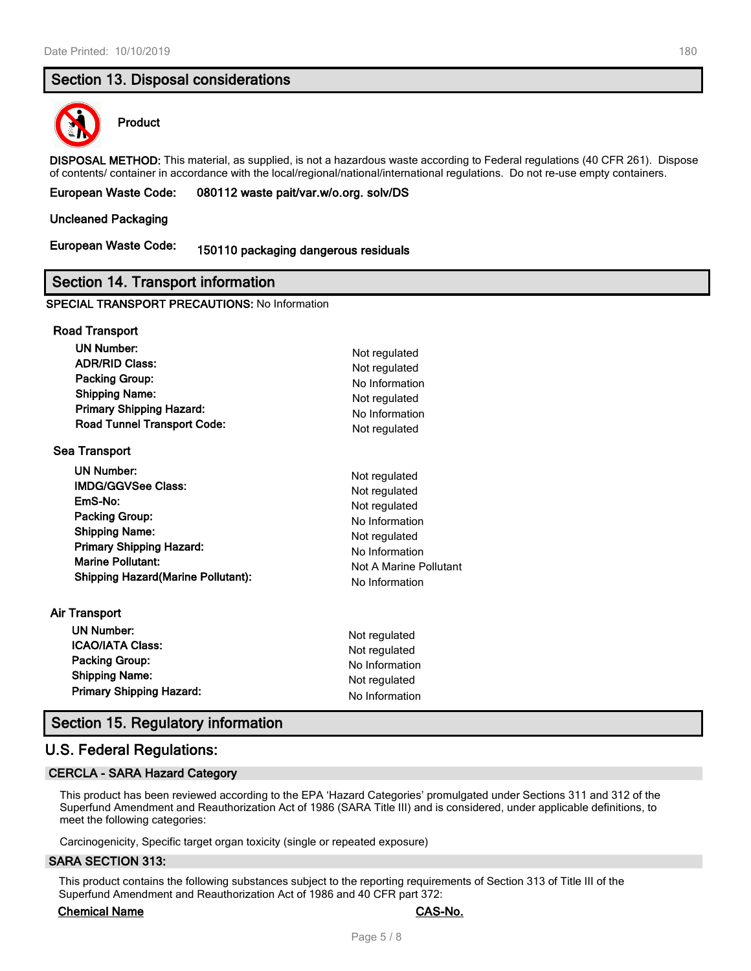# **Section 13. Disposal considerations**



#### **Product**

**DISPOSAL METHOD:** This material, as supplied, is not a hazardous waste according to Federal regulations (40 CFR 261). Dispose of contents/ container in accordance with the local/regional/national/international regulations. Do not re-use empty containers.

#### **European Waste Code: 080112 waste pait/var.w/o.org. solv/DS**

#### **Uncleaned Packaging**

# **European Waste Code: 150110 packaging dangerous residuals**

#### **Section 14. Transport information**

#### **SPECIAL TRANSPORT PRECAUTIONS:** No Information

| <b>Road Transport</b>                      |                        |
|--------------------------------------------|------------------------|
| <b>UN Number:</b>                          | Not regulated          |
| <b>ADR/RID Class:</b>                      | Not regulated          |
| Packing Group:                             | No Information         |
| <b>Shipping Name:</b>                      | Not regulated          |
| <b>Primary Shipping Hazard:</b>            | No Information         |
| <b>Road Tunnel Transport Code:</b>         | Not regulated          |
| <b>Sea Transport</b>                       |                        |
| <b>UN Number:</b>                          | Not regulated          |
| <b>IMDG/GGVSee Class:</b>                  | Not regulated          |
| EmS-No:                                    | Not regulated          |
| <b>Packing Group:</b>                      | No Information         |
| <b>Shipping Name:</b>                      | Not regulated          |
| <b>Primary Shipping Hazard:</b>            | No Information         |
| <b>Marine Pollutant:</b>                   | Not A Marine Pollutant |
| <b>Shipping Hazard (Marine Pollutant):</b> | No Information         |
| Air Transport                              |                        |
| <b>UN Number:</b>                          | Not regulated          |
| <b>ICAO/IATA Class:</b>                    | Not regulated          |
| <b>Packing Group:</b>                      | No Information         |
| <b>Shipping Name:</b>                      | Not regulated          |
| <b>Primary Shipping Hazard:</b>            | No Information         |

### **Section 15. Regulatory information**

### **U.S. Federal Regulations:**

#### **CERCLA - SARA Hazard Category**

This product has been reviewed according to the EPA 'Hazard Categories' promulgated under Sections 311 and 312 of the Superfund Amendment and Reauthorization Act of 1986 (SARA Title III) and is considered, under applicable definitions, to meet the following categories:

Carcinogenicity, Specific target organ toxicity (single or repeated exposure)

#### **SARA SECTION 313:**

This product contains the following substances subject to the reporting requirements of Section 313 of Title III of the Superfund Amendment and Reauthorization Act of 1986 and 40 CFR part 372:

#### **Chemical Name CAS-No.**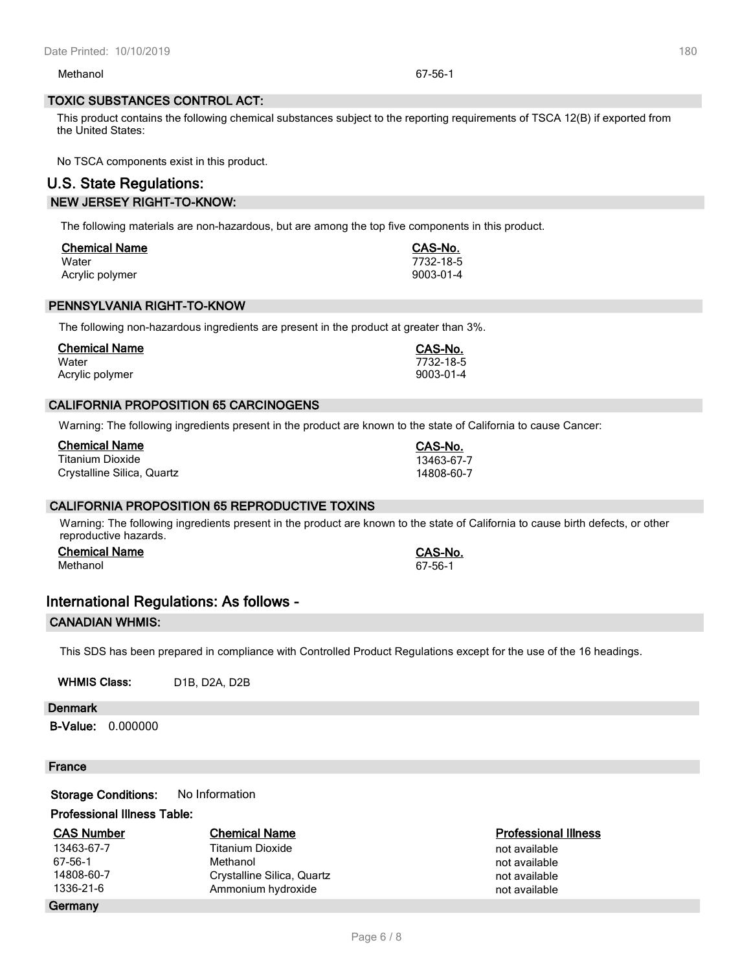Methanol 67-56-1

# **TOXIC SUBSTANCES CONTROL ACT:**

This product contains the following chemical substances subject to the reporting requirements of TSCA 12(B) if exported from the United States:

No TSCA components exist in this product.

# **U.S. State Regulations: NEW JERSEY RIGHT-TO-KNOW:**

The following materials are non-hazardous, but are among the top five components in this product.

| <b>Chemical Name</b> | CAS-No.   |
|----------------------|-----------|
| Water                | 7732-18-5 |
| Acrylic polymer      | 9003-01-4 |

# **PENNSYLVANIA RIGHT-TO-KNOW**

The following non-hazardous ingredients are present in the product at greater than 3%.

| <b>Chemical Name</b> | CAS-No.   |
|----------------------|-----------|
| Water                | 7732-18-5 |
| Acrylic polymer      | 9003-01-4 |

# **CALIFORNIA PROPOSITION 65 CARCINOGENS**

Warning: The following ingredients present in the product are known to the state of California to cause Cancer:

| Chemical Name              | CAS-No.    |
|----------------------------|------------|
| Titanium Dioxide           | 13463-67-7 |
| Crystalline Silica, Quartz | 14808-60-7 |

# **CALIFORNIA PROPOSITION 65 REPRODUCTIVE TOXINS**

Warning: The following ingredients present in the product are known to the state of California to cause birth defects, or other reproductive hazards.

**Chemical Name CAS-No.** Methanol 67-56-1

# **International Regulations: As follows -**

# **CANADIAN WHMIS:**

This SDS has been prepared in compliance with Controlled Product Regulations except for the use of the 16 headings.

WHMIS Class: D1B, D2A, D2B

# **Denmark**

**B-Value:** 0.000000

### **France**

**Germany**

**Storage Conditions:** No Information

### **Professional Illness Table:**

| <b>CAS Number</b> | <b>Chemical Name</b>       | Professiona   |
|-------------------|----------------------------|---------------|
| 13463-67-7        | Titanium Dioxide           | not available |
| 67-56-1           | Methanol                   | not available |
| 14808-60-7        | Crystalline Silica, Quartz | not available |
| 1336-21-6         | Ammonium hydroxide         | not available |

**CAS CONSIDER CONSIDER**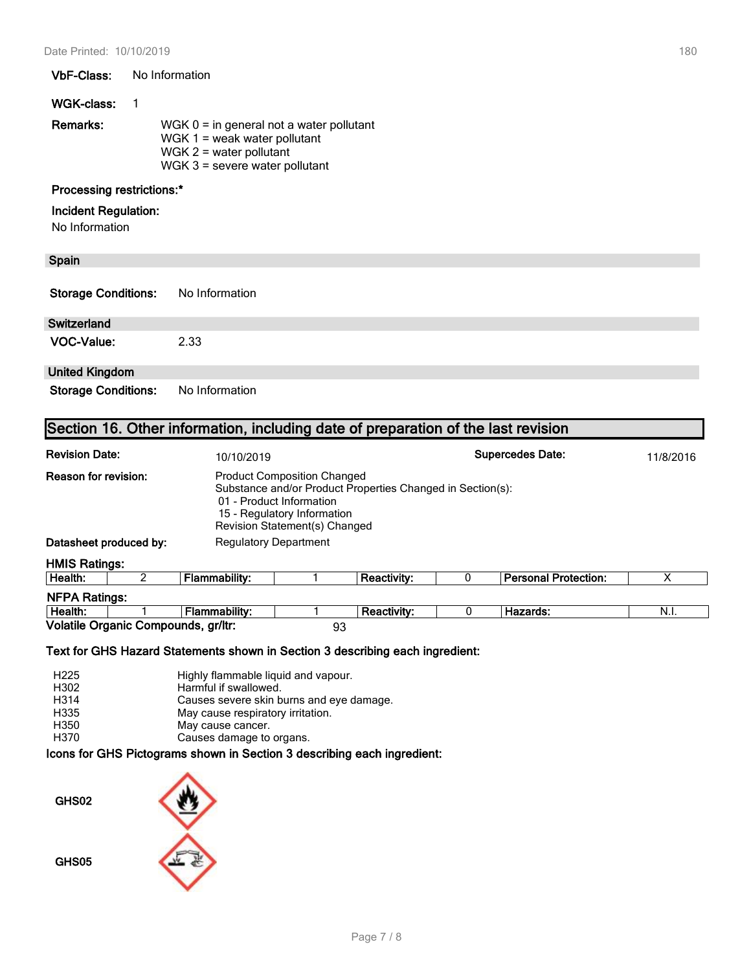#### **VbF-Class:** No Information

#### **WGK-class:** 1

| Remarks: | WGK $0 =$ in general not a water pollutant |
|----------|--------------------------------------------|
|          | WGK $1 =$ weak water pollutant             |
|          | WGK $2$ = water pollutant                  |
|          | WGK $3$ = severe water pollutant           |

# **Processing restrictions:\***

#### **Incident Regulation:**

No Information

# **Spain**

| <b>Storage Conditions:</b> | No Information |
|----------------------------|----------------|
|----------------------------|----------------|

# **Switzerland**

**VOC-Value:** 2.33

# **United Kingdom**

**Storage Conditions:** No Information

# **Section 16. Other information, including date of preparation of the last revision**

| <b>Revision Date:</b>       | <b>Supercedes Date:</b><br>10/10/2019                                                                                                                                                        |  |                    |  |                             | 11/8/2016 |
|-----------------------------|----------------------------------------------------------------------------------------------------------------------------------------------------------------------------------------------|--|--------------------|--|-----------------------------|-----------|
| <b>Reason for revision:</b> | <b>Product Composition Changed</b><br>Substance and/or Product Properties Changed in Section(s):<br>01 - Product Information<br>15 - Regulatory Information<br>Revision Statement(s) Changed |  |                    |  |                             |           |
| Datasheet produced by:      | <b>Regulatory Department</b>                                                                                                                                                                 |  |                    |  |                             |           |
| <b>HMIS Ratings:</b>        |                                                                                                                                                                                              |  |                    |  |                             |           |
| Health:                     | Flammability:                                                                                                                                                                                |  | <b>Reactivity:</b> |  | <b>Personal Protection:</b> | х         |
| <b>NFPA Ratings:</b>        |                                                                                                                                                                                              |  |                    |  |                             |           |

| IN FAINGUINS.                       |  |               |  |             |  |          |      |
|-------------------------------------|--|---------------|--|-------------|--|----------|------|
| Health:                             |  | Flammabilitv: |  | Reactivity: |  | Hazards: | N.I. |
| Volatile Organic Compounds, gr/ltr: |  | n,            |  |             |  |          |      |

#### **Text for GHS Hazard Statements shown in Section 3 describing each ingredient:**

| H <sub>225</sub> | Highly flammable liquid and vapour.      |
|------------------|------------------------------------------|
| H302             | Harmful if swallowed.                    |
| H314             | Causes severe skin burns and eye damage. |
| H335             | May cause respiratory irritation.        |
| H350             | May cause cancer.                        |
| H370             | Causes damage to organs.                 |
|                  |                                          |

#### **Icons for GHS Pictograms shown in Section 3 describing each ingredient:**